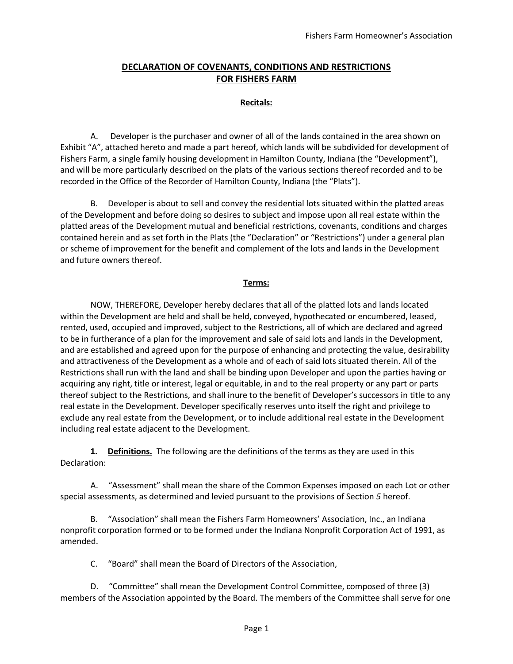### **DECLARATION OF COVENANTS, CONDITIONS AND RESTRICTIONS FOR FISHERS FARM**

### **Recitals:**

A. Developer is the purchaser and owner of all of the lands contained in the area shown on Exhibit "A", attached hereto and made a part hereof, which lands will be subdivided for development of Fishers Farm, a single family housing development in Hamilton County, Indiana (the "Development"), and will be more particularly described on the plats of the various sections thereof recorded and to be recorded in the Office of the Recorder of Hamilton County, Indiana (the "Plats").

B. Developer is about to sell and convey the residential lots situated within the platted areas of the Development and before doing so desires to subject and impose upon all real estate within the platted areas of the Development mutual and beneficial restrictions, covenants, conditions and charges contained herein and as set forth in the Plats (the "Declaration" or "Restrictions") under a general plan or scheme of improvement for the benefit and complement of the lots and lands in the Development and future owners thereof.

#### **Terms:**

NOW, THEREFORE, Developer hereby declares that all of the platted lots and lands located within the Development are held and shall be held, conveyed, hypothecated or encumbered, leased, rented, used, occupied and improved, subject to the Restrictions, all of which are declared and agreed to be in furtherance of a plan for the improvement and sale of said lots and lands in the Development, and are established and agreed upon for the purpose of enhancing and protecting the value, desirability and attractiveness of the Development as a whole and of each of said lots situated therein. All of the Restrictions shall run with the land and shall be binding upon Developer and upon the parties having or acquiring any right, title or interest, legal or equitable, in and to the real property or any part or parts thereof subject to the Restrictions, and shall inure to the benefit of Developer's successors in title to any real estate in the Development. Developer specifically reserves unto itself the right and privilege to exclude any real estate from the Development, or to include additional real estate in the Development including real estate adjacent to the Development.

**1. Definitions.** The following are the definitions of the terms as they are used in this Declaration:

A. "Assessment" shall mean the share of the Common Expenses imposed on each Lot or other special assessments, as determined and levied pursuant to the provisions of Section *5* hereof.

B. "Association" shall mean the Fishers Farm Homeowners' Association, Inc., an Indiana nonprofit corporation formed or to be formed under the Indiana Nonprofit Corporation Act of 1991, as amended.

C. "Board" shall mean the Board of Directors of the Association,

D. "Committee" shall mean the Development Control Committee, composed of three (3) members of the Association appointed by the Board. The members of the Committee shall serve for one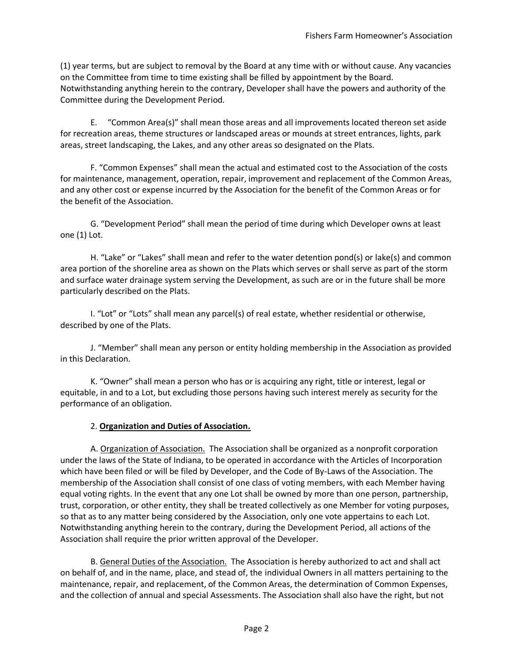(1) year terms, but are subject to removal by the Board at any time with or without cause. Any vacancies on the Committee from time to time existing shall be filled by appointment by the Board. Notwithstanding anything herein to the contrary, Developer shall have the powers and authority of the Committee during the Development Period.

E. "Common Area(s)" shall mean those areas and all improvements located thereon set aside for recreation areas, theme structures or landscaped areas or mounds at street entrances, lights, park areas, street landscaping, the Lakes, and any other areas so designated on the Plats.

F. "Common Expenses" shall mean the actual and estimated cost to the Association of the costs for maintenance, management, operation, repair, improvement and replacement of the Common Areas, and any other cost or expense incurred by the Association for the benefit of the Common Areas or for the benefit of the Association.

G. "Development Period" shall mean the period of time during which Developer owns at least one (1) Lot.

H. "Lake" or "Lakes" shall mean and refer to the water detention pond(s) or lake(s) and common area portion of the shoreline area as shown on the Plats which serves or shall serve as part of the storm and surface water drainage system serving the Development, as such are or in the future shall be more particularly described on the Plats.

I. "Lot" or "Lots" shall mean any parcel(s) of real estate, whether residential or otherwise, described by one of the Plats.

J. "Member" shall mean any person or entity holding membership in the Association as provided in this Declaration.

K. "Owner" shall mean a person who has or is acquiring any right, title or interest, legal or equitable, in and to a Lot, but excluding those persons having such interest merely as security for the performance of an obligation.

### 2. **Organization and Duties of Association.**

A. Organization of Association. The Association shall be organized as a nonprofit corporation under the laws of the State of Indiana, to be operated in accordance with the Articles of Incorporation which have been filed or will be filed by Developer, and the Code of By-Laws of the Association. The membership of the Association shall consist of one class of voting members, with each Member having equal voting rights. In the event that any one Lot shall be owned by more than one person, partnership, trust, corporation, or other entity, they shall be treated collectively as one Member for voting purposes, so that as to any matter being considered by the Association, only one vote appertains to each Lot. Notwithstanding anything herein to the contrary, during the Development Period, all actions of the Association shall require the prior written approval of the Developer.

B. General Duties of the Association. The Association is hereby authorized to act and shall act on behalf of, and in the name, place, and stead of, the individual Owners in all matters pertaining to the maintenance, repair, and replacement, of the Common Areas, the determination of Common Expenses, and the collection of annual and special Assessments. The Association shall also have the right, but not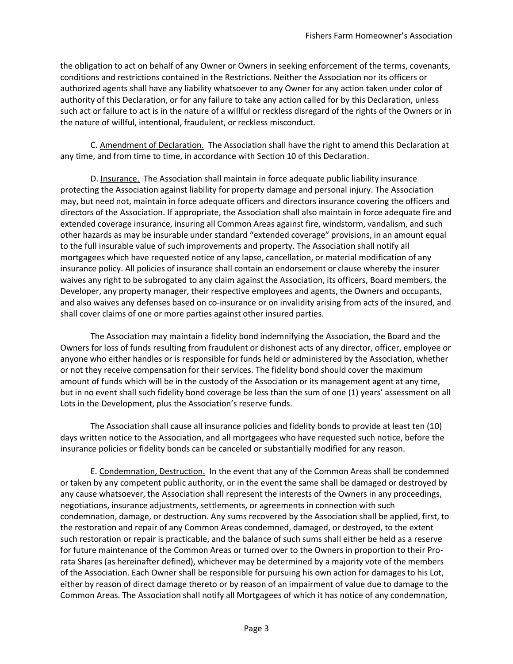the obligation to act on behalf of any Owner or Owners in seeking enforcement of the terms, covenants, conditions and restrictions contained in the Restrictions. Neither the Association nor its officers or authorized agents shall have any liability whatsoever to any Owner for any action taken under color of authority of this Declaration, or for any failure to take any action called for by this Declaration, unless such act or failure to act is in the nature of a willful or reckless disregard of the rights of the Owners or in the nature of willful, intentional, fraudulent, or reckless misconduct.

C. Amendment of Declaration. The Association shall have the right to amend this Declaration at any time, and from time to time, in accordance with Section 10 of this Declaration.

D. Insurance. The Association shall maintain in force adequate public liability insurance protecting the Association against liability for property damage and personal injury. The Association may, but need not, maintain in force adequate officers and directors insurance covering the officers and directors of the Association. If appropriate, the Association shall also maintain in force adequate fire and extended coverage insurance, insuring all Common Areas against fire, windstorm, vandalism, and such other hazards as may be insurable under standard "extended coverage" provisions, in an amount equal to the full insurable value of such improvements and property. The Association shall notify all mortgagees which have requested notice of any lapse, cancellation, or material modification of any insurance policy. All policies of insurance shall contain an endorsement or clause whereby the insurer waives any right to be subrogated to any claim against the Association, its officers, Board members, the Developer, any property manager, their respective employees and agents, the Owners and occupants, and also waives any defenses based on co-insurance or on invalidity arising from acts of the insured, and shall cover claims of one or more parties against other insured parties.

The Association may maintain a fidelity bond indemnifying the Association, the Board and the Owners for loss of funds resulting from fraudulent or dishonest acts of any director, officer, employee or anyone who either handles or is responsible for funds held or administered by the Association, whether or not they receive compensation for their services. The fidelity bond should cover the maximum amount of funds which will be in the custody of the Association or its management agent at any time, but in no event shall such fidelity bond coverage be less than the sum of one (1) years' assessment on all Lots in the Development, plus the Association's reserve funds.

The Association shall cause all insurance policies and fidelity bonds to provide at least ten (10) days written notice to the Association, and all mortgagees who have requested such notice, before the insurance policies or fidelity bonds can be canceled or substantially modified for any reason.

E. Condemnation, Destruction. In the event that any of the Common Areas shall be condemned or taken by any competent public authority, or in the event the same shall be damaged or destroyed by any cause whatsoever, the Association shall represent the interests of the Owners in any proceedings, negotiations, insurance adjustments, settlements, or agreements in connection with such condemnation, damage, or destruction. Any sums recovered by the Association shall be applied, first, to the restoration and repair of any Common Areas condemned, damaged, or destroyed, to the extent such restoration or repair is practicable, and the balance of such sums shall either be held as a reserve for future maintenance of the Common Areas or turned over to the Owners in proportion to their Prorata Shares (as hereinafter defined), whichever may be determined by a majority vote of the members of the Association. Each Owner shall be responsible for pursuing his own action for damages to his Lot, either by reason of direct damage thereto or by reason of an impairment of value due to damage to the Common Areas. The Association shall notify all Mortgagees of which it has notice of any condemnation,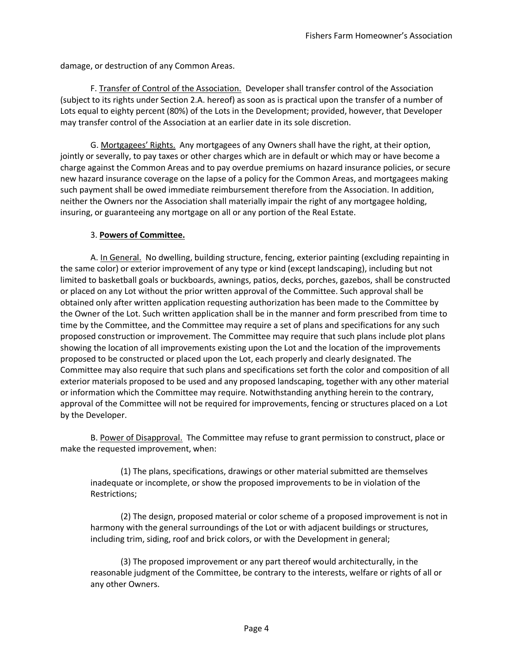damage, or destruction of any Common Areas.

F. Transfer of Control of the Association. Developer shall transfer control of the Association (subject to its rights under Section 2.A. hereof) as soon as is practical upon the transfer of a number of Lots equal to eighty percent (80%) of the Lots in the Development; provided, however, that Developer may transfer control of the Association at an earlier date in its sole discretion.

G. Mortgagees' Rights. Any mortgagees of any Owners shall have the right, at their option, jointly or severally, to pay taxes or other charges which are in default or which may or have become a charge against the Common Areas and to pay overdue premiums on hazard insurance policies, or secure new hazard insurance coverage on the lapse of a policy for the Common Areas, and mortgagees making such payment shall be owed immediate reimbursement therefore from the Association. In addition, neither the Owners nor the Association shall materially impair the right of any mortgagee holding, insuring, or guaranteeing any mortgage on all or any portion of the Real Estate.

#### 3. **Powers of Committee.**

A. In General. No dwelling, building structure, fencing, exterior painting (excluding repainting in the same color) or exterior improvement of any type or kind (except landscaping), including but not limited to basketball goals or buckboards, awnings, patios, decks, porches, gazebos, shall be constructed or placed on any Lot without the prior written approval of the Committee. Such approval shall be obtained only after written application requesting authorization has been made to the Committee by the Owner of the Lot. Such written application shall be in the manner and form prescribed from time to time by the Committee, and the Committee may require a set of plans and specifications for any such proposed construction or improvement. The Committee may require that such plans include plot plans showing the location of all improvements existing upon the Lot and the location of the improvements proposed to be constructed or placed upon the Lot, each properly and clearly designated. The Committee may also require that such plans and specifications set forth the color and composition of all exterior materials proposed to be used and any proposed landscaping, together with any other material or information which the Committee may require. Notwithstanding anything herein to the contrary, approval of the Committee will not be required for improvements, fencing or structures placed on a Lot by the Developer.

B. Power of Disapproval. The Committee may refuse to grant permission to construct, place or make the requested improvement, when:

(1) The plans, specifications, drawings or other material submitted are themselves inadequate or incomplete, or show the proposed improvements to be in violation of the Restrictions;

(2) The design, proposed material or color scheme of a proposed improvement is not in harmony with the general surroundings of the Lot or with adjacent buildings or structures, including trim, siding, roof and brick colors, or with the Development in general;

(3) The proposed improvement or any part thereof would architecturally, in the reasonable judgment of the Committee, be contrary to the interests, welfare or rights of all or any other Owners.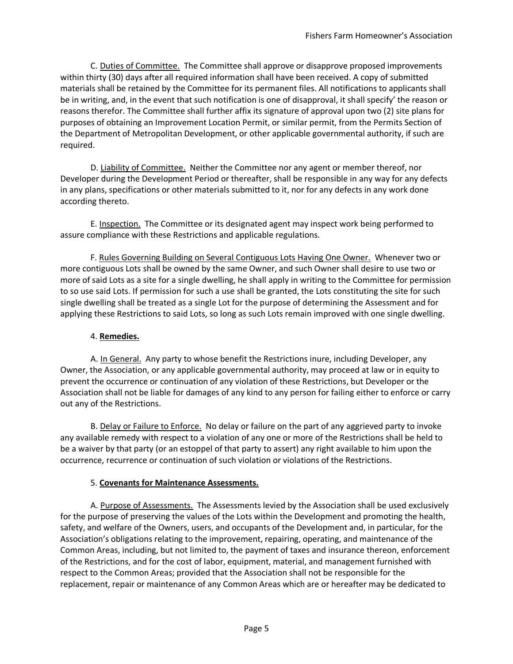C. Duties of Committee. The Committee shall approve or disapprove proposed improvements within thirty (30) days after all required information shall have been received. A copy of submitted materials shall be retained by the Committee for its permanent files. All notifications to applicants shall be in writing, and, in the event that such notification is one of disapproval, it shall specify' the reason or reasons therefor. The Committee shall further affix its signature of approval upon two (2) site plans for purposes of obtaining an Improvement Location Permit, or similar permit, from the Permits Section of the Department of Metropolitan Development, or other applicable governmental authority, if such are required.

D. Liability of Committee. Neither the Committee nor any agent or member thereof, nor Developer during the Development Period or thereafter, shall be responsible in any way for any defects in any plans, specifications or other materials submitted to it, nor for any defects in any work done according thereto.

E. Inspection. The Committee or its designated agent may inspect work being performed to assure compliance with these Restrictions and applicable regulations.

F. Rules Governing Building on Several Contiguous Lots Having One Owner. Whenever two or more contiguous Lots shall be owned by the same Owner, and such Owner shall desire to use two or more of said Lots as a site for a single dwelling, he shall apply in writing to the Committee for permission to so use said Lots. If permission for such a use shall be granted, the Lots constituting the site for such single dwelling shall be treated as a single Lot for the purpose of determining the Assessment and for applying these Restrictions to said Lots, so long as such Lots remain improved with one single dwelling.

### 4. **Remedies.**

A. In General. Any party to whose benefit the Restrictions inure, including Developer, any Owner, the Association, or any applicable governmental authority, may proceed at law or in equity to prevent the occurrence or continuation of any violation of these Restrictions, but Developer or the Association shall not be liable for damages of any kind to any person for failing either to enforce or carry out any of the Restrictions.

B. Delay or Failure to Enforce. No delay or failure on the part of any aggrieved party to invoke any available remedy with respect to a violation of any one or more of the Restrictions shall be held to be a waiver by that party (or an estoppel of that party to assert) any right available to him upon the occurrence, recurrence or continuation of such violation or violations of the Restrictions.

# 5. **Covenants for Maintenance Assessments.**

A. Purpose of Assessments. The Assessments levied by the Association shall be used exclusively for the purpose of preserving the values of the Lots within the Development and promoting the health, safety, and welfare of the Owners, users, and occupants of the Development and, in particular, for the Association's obligations relating to the improvement, repairing, operating, and maintenance of the Common Areas, including, but not limited to, the payment of taxes and insurance thereon, enforcement of the Restrictions, and for the cost of labor, equipment, material, and management furnished with respect to the Common Areas; provided that the Association shall not be responsible for the replacement, repair or maintenance of any Common Areas which are or hereafter may be dedicated to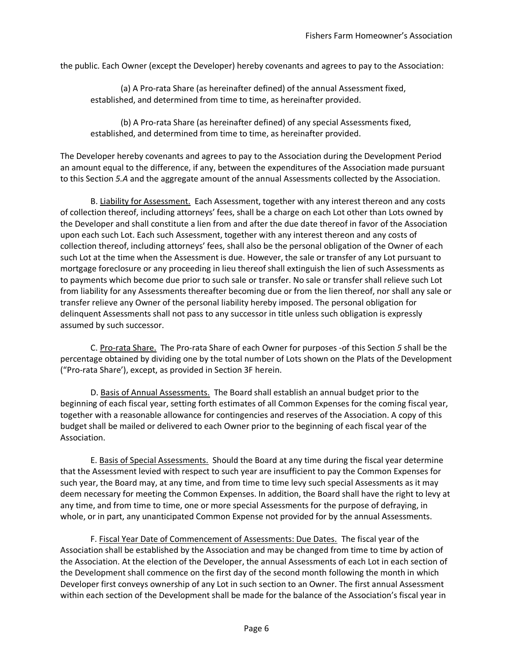the public. Each Owner (except the Developer) hereby covenants and agrees to pay to the Association:

(a) A Pro-rata Share (as hereinafter defined) of the annual Assessment fixed, established, and determined from time to time, as hereinafter provided.

(b) A Pro-rata Share (as hereinafter defined) of any special Assessments fixed, established, and determined from time to time, as hereinafter provided.

The Developer hereby covenants and agrees to pay to the Association during the Development Period an amount equal to the difference, if any, between the expenditures of the Association made pursuant to this Section *5.A* and the aggregate amount of the annual Assessments collected by the Association.

B. Liability for Assessment. Each Assessment, together with any interest thereon and any costs of collection thereof, including attorneys' fees, shall be a charge on each Lot other than Lots owned by the Developer and shall constitute a lien from and after the due date thereof in favor of the Association upon each such Lot. Each such Assessment, together with any interest thereon and any costs of collection thereof, including attorneys' fees, shall also be the personal obligation of the Owner of each such Lot at the time when the Assessment is due. However, the sale or transfer of any Lot pursuant to mortgage foreclosure or any proceeding in lieu thereof shall extinguish the lien of such Assessments as to payments which become due prior to such sale or transfer. No sale or transfer shall relieve such Lot from liability for any Assessments thereafter becoming due or from the lien thereof, nor shall any sale or transfer relieve any Owner of the personal liability hereby imposed. The personal obligation for delinquent Assessments shall not pass to any successor in title unless such obligation is expressly assumed by such successor.

C. Pro-rata Share. The Pro-rata Share of each Owner for purposes -of this Section *5* shall be the percentage obtained by dividing one by the total number of Lots shown on the Plats of the Development ("Pro-rata Share'), except, as provided in Section 3F herein.

D. Basis of Annual Assessments. The Board shall establish an annual budget prior to the beginning of each fiscal year, setting forth estimates of all Common Expenses for the coming fiscal year, together with a reasonable allowance for contingencies and reserves of the Association. A copy of this budget shall be mailed or delivered to each Owner prior to the beginning of each fiscal year of the Association.

E. Basis of Special Assessments. Should the Board at any time during the fiscal year determine that the Assessment levied with respect to such year are insufficient to pay the Common Expenses for such year, the Board may, at any time, and from time to time levy such special Assessments as it may deem necessary for meeting the Common Expenses. In addition, the Board shall have the right to levy at any time, and from time to time, one or more special Assessments for the purpose of defraying, in whole, or in part, any unanticipated Common Expense not provided for by the annual Assessments.

F. Fiscal Year Date of Commencement of Assessments: Due Dates. The fiscal year of the Association shall be established by the Association and may be changed from time to time by action of the Association. At the election of the Developer, the annual Assessments of each Lot in each section of the Development shall commence on the first day of the second month following the month in which Developer first conveys ownership of any Lot in such section to an Owner. The first annual Assessment within each section of the Development shall be made for the balance of the Association's fiscal year in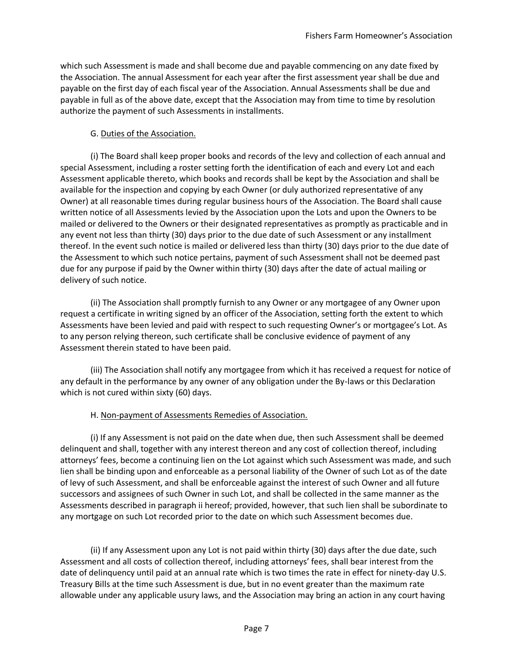which such Assessment is made and shall become due and payable commencing on any date fixed by the Association. The annual Assessment for each year after the first assessment year shall be due and payable on the first day of each fiscal year of the Association. Annual Assessments shall be due and payable in full as of the above date, except that the Association may from time to time by resolution authorize the payment of such Assessments in installments.

#### G. Duties of the Association.

(i) The Board shall keep proper books and records of the levy and collection of each annual and special Assessment, including a roster setting forth the identification of each and every Lot and each Assessment applicable thereto, which books and records shall be kept by the Association and shall be available for the inspection and copying by each Owner (or duly authorized representative of any Owner) at all reasonable times during regular business hours of the Association. The Board shall cause written notice of all Assessments levied by the Association upon the Lots and upon the Owners to be mailed or delivered to the Owners or their designated representatives as promptly as practicable and in any event not less than thirty (30) days prior to the due date of such Assessment or any installment thereof. In the event such notice is mailed or delivered less than thirty (30) days prior to the due date of the Assessment to which such notice pertains, payment of such Assessment shall not be deemed past due for any purpose if paid by the Owner within thirty (30) days after the date of actual mailing or delivery of such notice.

(ii) The Association shall promptly furnish to any Owner or any mortgagee of any Owner upon request a certificate in writing signed by an officer of the Association, setting forth the extent to which Assessments have been levied and paid with respect to such requesting Owner's or mortgagee's Lot. As to any person relying thereon, such certificate shall be conclusive evidence of payment of any Assessment therein stated to have been paid.

(iii) The Association shall notify any mortgagee from which it has received a request for notice of any default in the performance by any owner of any obligation under the By-laws or this Declaration which is not cured within sixty (60) days.

#### H. Non-payment of Assessments Remedies of Association.

(i) If any Assessment is not paid on the date when due, then such Assessment shall be deemed delinquent and shall, together with any interest thereon and any cost of collection thereof, including attorneys' fees, become a continuing lien on the Lot against which such Assessment was made, and such lien shall be binding upon and enforceable as a personal liability of the Owner of such Lot as of the date of levy of such Assessment, and shall be enforceable against the interest of such Owner and all future successors and assignees of such Owner in such Lot, and shall be collected in the same manner as the Assessments described in paragraph ii hereof; provided, however, that such lien shall be subordinate to any mortgage on such Lot recorded prior to the date on which such Assessment becomes due.

(ii) If any Assessment upon any Lot is not paid within thirty (30) days after the due date, such Assessment and all costs of collection thereof, including attorneys' fees, shall bear interest from the date of delinquency until paid at an annual rate which is two times the rate in effect for ninety-day U.S. Treasury Bills at the time such Assessment is due, but in no event greater than the maximum rate allowable under any applicable usury laws, and the Association may bring an action in any court having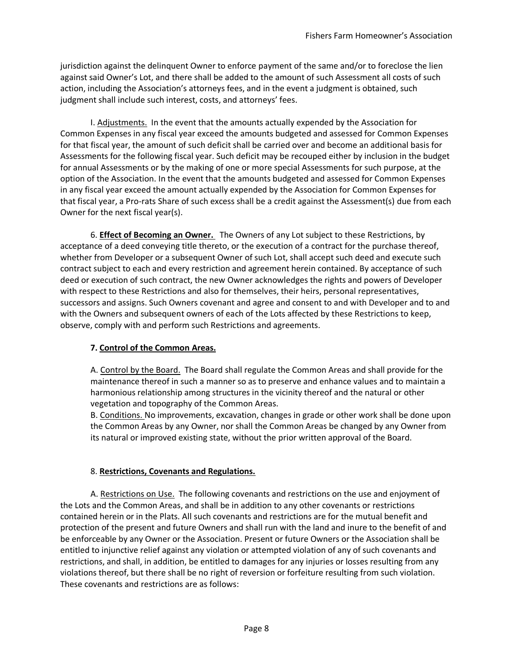jurisdiction against the delinquent Owner to enforce payment of the same and/or to foreclose the lien against said Owner's Lot, and there shall be added to the amount of such Assessment all costs of such action, including the Association's attorneys fees, and in the event a judgment is obtained, such judgment shall include such interest, costs, and attorneys' fees.

I. Adjustments. In the event that the amounts actually expended by the Association for Common Expenses in any fiscal year exceed the amounts budgeted and assessed for Common Expenses for that fiscal year, the amount of such deficit shall be carried over and become an additional basis for Assessments for the following fiscal year. Such deficit may be recouped either by inclusion in the budget for annual Assessments or by the making of one or more special Assessments for such purpose, at the option of the Association. In the event that the amounts budgeted and assessed for Common Expenses in any fiscal year exceed the amount actually expended by the Association for Common Expenses for that fiscal year, a Pro-rats Share of such excess shall be a credit against the Assessment(s) due from each Owner for the next fiscal year(s).

6. **Effect of Becoming an Owner.** The Owners of any Lot subject to these Restrictions, by acceptance of a deed conveying title thereto, or the execution of a contract for the purchase thereof, whether from Developer or a subsequent Owner of such Lot, shall accept such deed and execute such contract subject to each and every restriction and agreement herein contained. By acceptance of such deed or execution of such contract, the new Owner acknowledges the rights and powers of Developer with respect to these Restrictions and also for themselves, their heirs, personal representatives, successors and assigns. Such Owners covenant and agree and consent to and with Developer and to and with the Owners and subsequent owners of each of the Lots affected by these Restrictions to keep, observe, comply with and perform such Restrictions and agreements.

# **7. Control of the Common Areas.**

A. Control by the Board. The Board shall regulate the Common Areas and shall provide for the maintenance thereof in such a manner so as to preserve and enhance values and to maintain a harmonious relationship among structures in the vicinity thereof and the natural or other vegetation and topography of the Common Areas.

B. Conditions. No improvements, excavation, changes in grade or other work shall be done upon the Common Areas by any Owner, nor shall the Common Areas be changed by any Owner from its natural or improved existing state, without the prior written approval of the Board.

# 8. **Restrictions, Covenants and Regulations.**

A. Restrictions on Use. The following covenants and restrictions on the use and enjoyment of the Lots and the Common Areas, and shall be in addition to any other covenants or restrictions contained herein or in the Plats. All such covenants and restrictions are for the mutual benefit and protection of the present and future Owners and shall run with the land and inure to the benefit of and be enforceable by any Owner or the Association. Present or future Owners or the Association shall be entitled to injunctive relief against any violation or attempted violation of any of such covenants and restrictions, and shall, in addition, be entitled to damages for any injuries or losses resulting from any violations thereof, but there shall be no right of reversion or forfeiture resulting from such violation. These covenants and restrictions are as follows: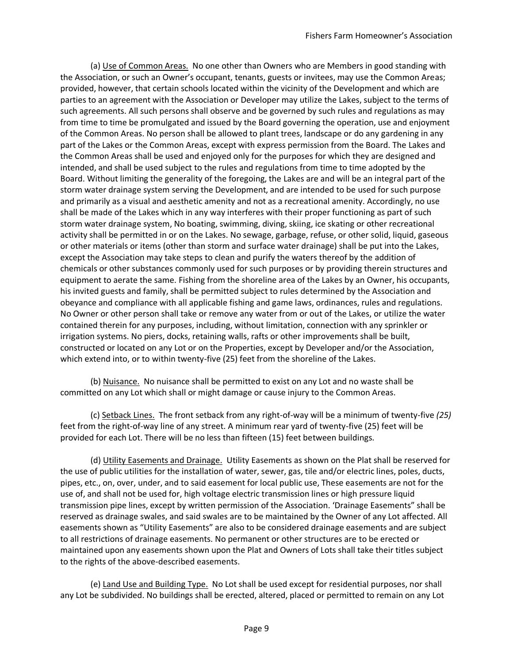(a) Use of Common Areas. No one other than Owners who are Members in good standing with the Association, or such an Owner's occupant, tenants, guests or invitees, may use the Common Areas; provided, however, that certain schools located within the vicinity of the Development and which are parties to an agreement with the Association or Developer may utilize the Lakes, subject to the terms of such agreements. All such persons shall observe and be governed by such rules and regulations as may from time to time be promulgated and issued by the Board governing the operation, use and enjoyment of the Common Areas. No person shall be allowed to plant trees, landscape or do any gardening in any part of the Lakes or the Common Areas, except with express permission from the Board. The Lakes and the Common Areas shall be used and enjoyed only for the purposes for which they are designed and intended, and shall be used subject to the rules and regulations from time to time adopted by the Board. Without limiting the generality of the foregoing, the Lakes are and will be an integral part of the storm water drainage system serving the Development, and are intended to be used for such purpose and primarily as a visual and aesthetic amenity and not as a recreational amenity. Accordingly, no use shall be made of the Lakes which in any way interferes with their proper functioning as part of such storm water drainage system, No boating, swimming, diving, skiing, ice skating or other recreational activity shall be permitted in or on the Lakes. No sewage, garbage, refuse, or other solid, liquid, gaseous or other materials or items (other than storm and surface water drainage) shall be put into the Lakes, except the Association may take steps to clean and purify the waters thereof by the addition of chemicals or other substances commonly used for such purposes or by providing therein structures and equipment to aerate the same. Fishing from the shoreline area of the Lakes by an Owner, his occupants, his invited guests and family, shall be permitted subject to rules determined by the Association and obeyance and compliance with all applicable fishing and game laws, ordinances, rules and regulations. No Owner or other person shall take or remove any water from or out of the Lakes, or utilize the water contained therein for any purposes, including, without limitation, connection with any sprinkler or irrigation systems. No piers, docks, retaining walls, rafts or other improvements shall be built, constructed or located on any Lot or on the Properties, except by Developer and/or the Association, which extend into, or to within twenty-five (25) feet from the shoreline of the Lakes.

(b) Nuisance. No nuisance shall be permitted to exist on any Lot and no waste shall be committed on any Lot which shall or might damage or cause injury to the Common Areas.

(c) Setback Lines. The front setback from any right-of-way will be a minimum of twenty-five *(25)*  feet from the right-of-way line of any street. A minimum rear yard of twenty-five (25) feet will be provided for each Lot. There will be no less than fifteen (15) feet between buildings.

(d) Utility Easements and Drainage. Utility Easements as shown on the Plat shall be reserved for the use of public utilities for the installation of water, sewer, gas, tile and/or electric lines, poles, ducts, pipes, etc., on, over, under, and to said easement for local public use, These easements are not for the use of, and shall not be used for, high voltage electric transmission lines or high pressure liquid transmission pipe lines, except by written permission of the Association. 'Drainage Easements" shall be reserved as drainage swales, and said swales are to be maintained by the Owner of any Lot affected. All easements shown as "Utility Easements" are also to be considered drainage easements and are subject to all restrictions of drainage easements. No permanent or other structures are to be erected or maintained upon any easements shown upon the Plat and Owners of Lots shall take their titles subject to the rights of the above-described easements.

(e) Land Use and Building Type. No Lot shall be used except for residential purposes, nor shall any Lot be subdivided. No buildings shall be erected, altered, placed or permitted to remain on any Lot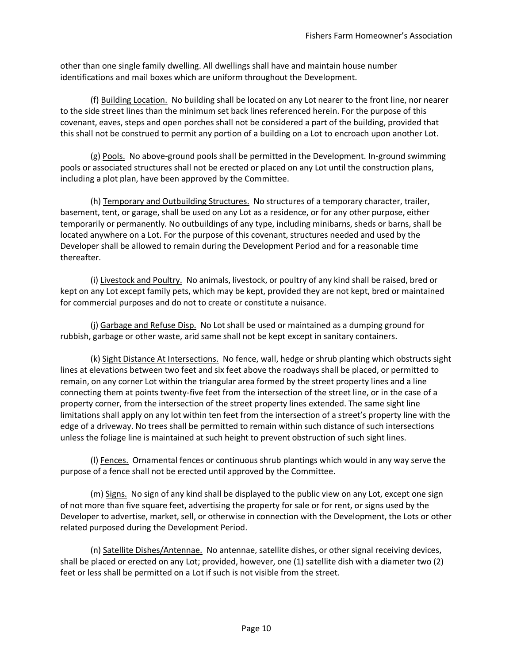other than one single family dwelling. All dwellings shall have and maintain house number identifications and mail boxes which are uniform throughout the Development.

(f) Building Location. No building shall be located on any Lot nearer to the front line, nor nearer to the side street lines than the minimum set back lines referenced herein. For the purpose of this covenant, eaves, steps and open porches shall not be considered a part of the building, provided that this shall not be construed to permit any portion of a building on a Lot to encroach upon another Lot.

(g) Pools. No above-ground pools shall be permitted in the Development. In-ground swimming pools or associated structures shall not be erected or placed on any Lot until the construction plans, including a plot plan, have been approved by the Committee.

(h) Temporary and Outbuilding Structures. No structures of a temporary character, trailer, basement, tent, or garage, shall be used on any Lot as a residence, or for any other purpose, either temporarily or permanently. No outbuildings of any type, including minibarns, sheds or barns, shall be located anywhere on a Lot. For the purpose of this covenant, structures needed and used by the Developer shall be allowed to remain during the Development Period and for a reasonable time thereafter.

(i) Livestock and Poultry. No animals, livestock, or poultry of any kind shall be raised, bred or kept on any Lot except family pets, which may be kept, provided they are not kept, bred or maintained for commercial purposes and do not to create or constitute a nuisance.

(j) Garbage and Refuse Disp. No Lot shall be used or maintained as a dumping ground for rubbish, garbage or other waste, arid same shall not be kept except in sanitary containers.

(k) Sight Distance At Intersections. No fence, wall, hedge or shrub planting which obstructs sight lines at elevations between two feet and six feet above the roadways shall be placed, or permitted to remain, on any corner Lot within the triangular area formed by the street property lines and a line connecting them at points twenty-five feet from the intersection of the street line, or in the case of a property corner, from the intersection of the street property lines extended. The same sight line limitations shall apply on any lot within ten feet from the intersection of a street's property line with the edge of a driveway. No trees shall be permitted to remain within such distance of such intersections unless the foliage line is maintained at such height to prevent obstruction of such sight lines.

(I) Fences. Ornamental fences or continuous shrub plantings which would in any way serve the purpose of a fence shall not be erected until approved by the Committee.

(m) Signs. No sign of any kind shall be displayed to the public view on any Lot, except one sign of not more than five square feet, advertising the property for sale or for rent, or signs used by the Developer to advertise, market, sell, or otherwise in connection with the Development, the Lots or other related purposed during the Development Period.

(n) Satellite Dishes/Antennae. No antennae, satellite dishes, or other signal receiving devices, shall be placed or erected on any Lot; provided, however, one (1) satellite dish with a diameter two (2) feet or less shall be permitted on a Lot if such is not visible from the street.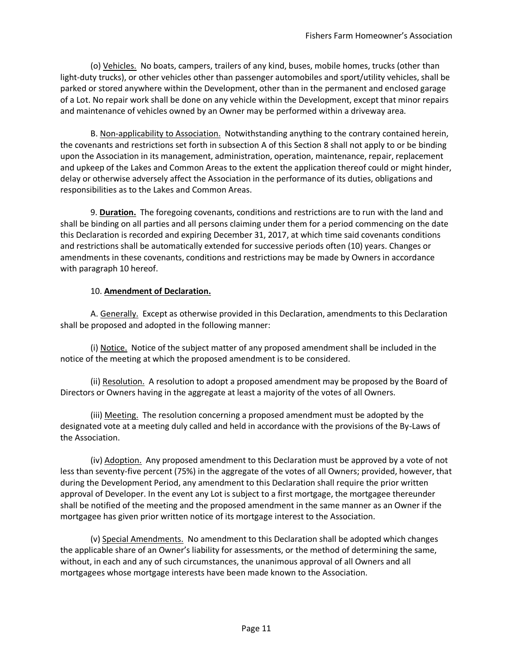(o) Vehicles. No boats, campers, trailers of any kind, buses, mobile homes, trucks (other than light-duty trucks), or other vehicles other than passenger automobiles and sport/utility vehicles, shall be parked or stored anywhere within the Development, other than in the permanent and enclosed garage of a Lot. No repair work shall be done on any vehicle within the Development, except that minor repairs and maintenance of vehicles owned by an Owner may be performed within a driveway area.

B. Non-applicability to Association. Notwithstanding anything to the contrary contained herein, the covenants and restrictions set forth in subsection A of this Section 8 shall not apply to or be binding upon the Association in its management, administration, operation, maintenance, repair, replacement and upkeep of the Lakes and Common Areas to the extent the application thereof could or might hinder, delay or otherwise adversely affect the Association in the performance of its duties, obligations and responsibilities as to the Lakes and Common Areas.

9. **Duration.** The foregoing covenants, conditions and restrictions are to run with the land and shall be binding on all parties and all persons claiming under them for a period commencing on the date this Declaration is recorded and expiring December 31, 2017, at which time said covenants conditions and restrictions shall be automatically extended for successive periods often (10) years. Changes or amendments in these covenants, conditions and restrictions may be made by Owners in accordance with paragraph 10 hereof.

#### 10. **Amendment of Declaration.**

A. Generally. Except as otherwise provided in this Declaration, amendments to this Declaration shall be proposed and adopted in the following manner:

(i) Notice. Notice of the subject matter of any proposed amendment shall be included in the notice of the meeting at which the proposed amendment is to be considered.

(ii) Resolution. A resolution to adopt a proposed amendment may be proposed by the Board of Directors or Owners having in the aggregate at least a majority of the votes of all Owners.

(iii) Meeting. The resolution concerning a proposed amendment must be adopted by the designated vote at a meeting duly called and held in accordance with the provisions of the By-Laws of the Association.

(iv) Adoption. Any proposed amendment to this Declaration must be approved by a vote of not less than seventy-five percent (75%) in the aggregate of the votes of all Owners; provided, however, that during the Development Period, any amendment to this Declaration shall require the prior written approval of Developer. In the event any Lot is subject to a first mortgage, the mortgagee thereunder shall be notified of the meeting and the proposed amendment in the same manner as an Owner if the mortgagee has given prior written notice of its mortgage interest to the Association.

(v) Special Amendments. No amendment to this Declaration shall be adopted which changes the applicable share of an Owner's liability for assessments, or the method of determining the same, without, in each and any of such circumstances, the unanimous approval of all Owners and all mortgagees whose mortgage interests have been made known to the Association.